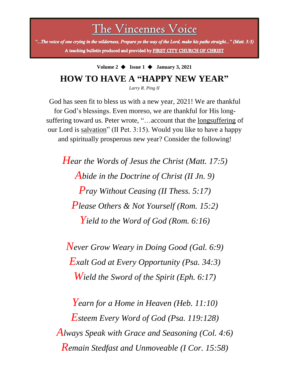The Vincennes Voice

"...The voice of one crying in the wilderness, Prepare ye the way of the Lord, make his paths straight..." (Matt. 3:3) A teaching bulletin produced and provided by FIRST CITY CHURCH OF CHRIST

# **Volume 2** ◆ **Issue 1** ◆ **January 3, 2021 HOW TO HAVE A "HAPPY NEW YEAR"**

*Larry R. Ping II*

God has seen fit to bless us with a new year, 2021! We are thankful for God's blessings. Even moreso, we are thankful for His longsuffering toward us. Peter wrote, "…account that the longsuffering of our Lord is salvation" (II Pet. 3:15). Would you like to have a happy and spiritually prosperous new year? Consider the following!

*Hear the Words of Jesus the Christ (Matt. 17:5) Abide in the Doctrine of Christ (II Jn. 9) Pray Without Ceasing (II Thess. 5:17) Please Others & Not Yourself (Rom. 15:2) Yield to the Word of God (Rom. 6:16)*

*Never Grow Weary in Doing Good (Gal. 6:9) Exalt God at Every Opportunity (Psa. 34:3) Wield the Sword of the Spirit (Eph. 6:17)*

*Yearn for a Home in Heaven (Heb. 11:10) Esteem Every Word of God (Psa. 119:128) Always Speak with Grace and Seasoning (Col. 4:6) Remain Stedfast and Unmoveable (I Cor. 15:58)*